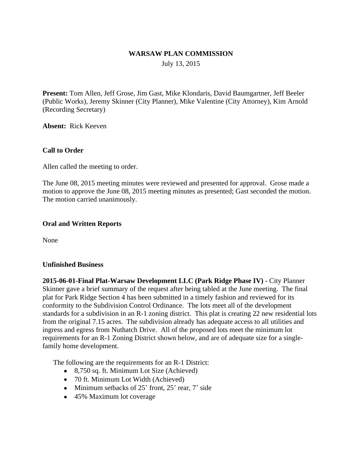### **WARSAW PLAN COMMISSION**

July 13, 2015

**Present:** Tom Allen, Jeff Grose, Jim Gast, Mike Klondaris, David Baumgartner, Jeff Beeler (Public Works), Jeremy Skinner (City Planner), Mike Valentine (City Attorney), Kim Arnold (Recording Secretary)

**Absent:** Rick Keeven

#### **Call to Order**

Allen called the meeting to order.

The June 08, 2015 meeting minutes were reviewed and presented for approval. Grose made a motion to approve the June 08, 2015 meeting minutes as presented; Gast seconded the motion. The motion carried unanimously.

#### **Oral and Written Reports**

None

#### **Unfinished Business**

**2015-06-01-Final Plat-Warsaw Development LLC (Park Ridge Phase IV) -** City Planner Skinner gave a brief summary of the request after being tabled at the June meeting. The final plat for Park Ridge Section 4 has been submitted in a timely fashion and reviewed for its conformity to the Subdivision Control Ordinance. The lots meet all of the development standards for a subdivision in an R-1 zoning district. This plat is creating 22 new residential lots from the original 7.15 acres. The subdivision already has adequate access to all utilities and ingress and egress from Nuthatch Drive. All of the proposed lots meet the minimum lot requirements for an R-1 Zoning District shown below, and are of adequate size for a singlefamily home development.

The following are the requirements for an R-1 District:

- 8,750 sq. ft. Minimum Lot Size (Achieved)
- 70 ft. Minimum Lot Width (Achieved)
- $\bullet$  Minimum setbacks of 25' front, 25' rear, 7' side
- 45% Maximum lot coverage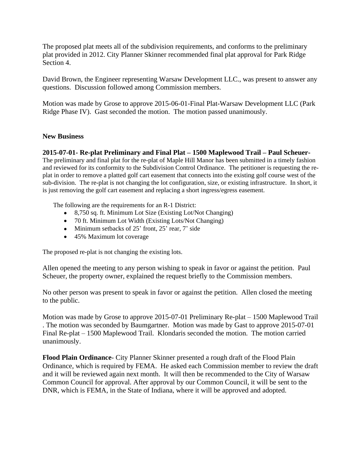The proposed plat meets all of the subdivision requirements, and conforms to the preliminary plat provided in 2012. City Planner Skinner recommended final plat approval for Park Ridge Section 4.

David Brown, the Engineer representing Warsaw Development LLC., was present to answer any questions. Discussion followed among Commission members.

Motion was made by Grose to approve 2015-06-01-Final Plat-Warsaw Development LLC (Park Ridge Phase IV). Gast seconded the motion. The motion passed unanimously.

### **New Business**

### **2015-07-01- Re-plat Preliminary and Final Plat – 1500 Maplewood Trail – Paul Scheuer-**

The preliminary and final plat for the re-plat of Maple Hill Manor has been submitted in a timely fashion and reviewed for its conformity to the Subdivision Control Ordinance. The petitioner is requesting the replat in order to remove a platted golf cart easement that connects into the existing golf course west of the sub-division. The re-plat is not changing the lot configuration, size, or existing infrastructure. In short, it is just removing the golf cart easement and replacing a short ingress/egress easement.

The following are the requirements for an R-1 District:

- 8,750 sq. ft. Minimum Lot Size (Existing Lot/Not Changing)
- 70 ft. Minimum Lot Width (Existing Lots/Not Changing)
- $\bullet$  Minimum setbacks of 25' front, 25' rear, 7' side
- 45% Maximum lot coverage

The proposed re-plat is not changing the existing lots.

Allen opened the meeting to any person wishing to speak in favor or against the petition. Paul Scheuer, the property owner, explained the request briefly to the Commission members.

No other person was present to speak in favor or against the petition. Allen closed the meeting to the public.

Motion was made by Grose to approve 2015-07-01 Preliminary Re-plat – 1500 Maplewood Trail . The motion was seconded by Baumgartner. Motion was made by Gast to approve 2015-07-01 Final Re-plat – 1500 Maplewood Trail. Klondaris seconded the motion. The motion carried unanimously.

**Flood Plain Ordinance**- City Planner Skinner presented a rough draft of the Flood Plain Ordinance, which is required by FEMA. He asked each Commission member to review the draft and it will be reviewed again next month. It will then be recommended to the City of Warsaw Common Council for approval. After approval by our Common Council, it will be sent to the DNR, which is FEMA, in the State of Indiana, where it will be approved and adopted.